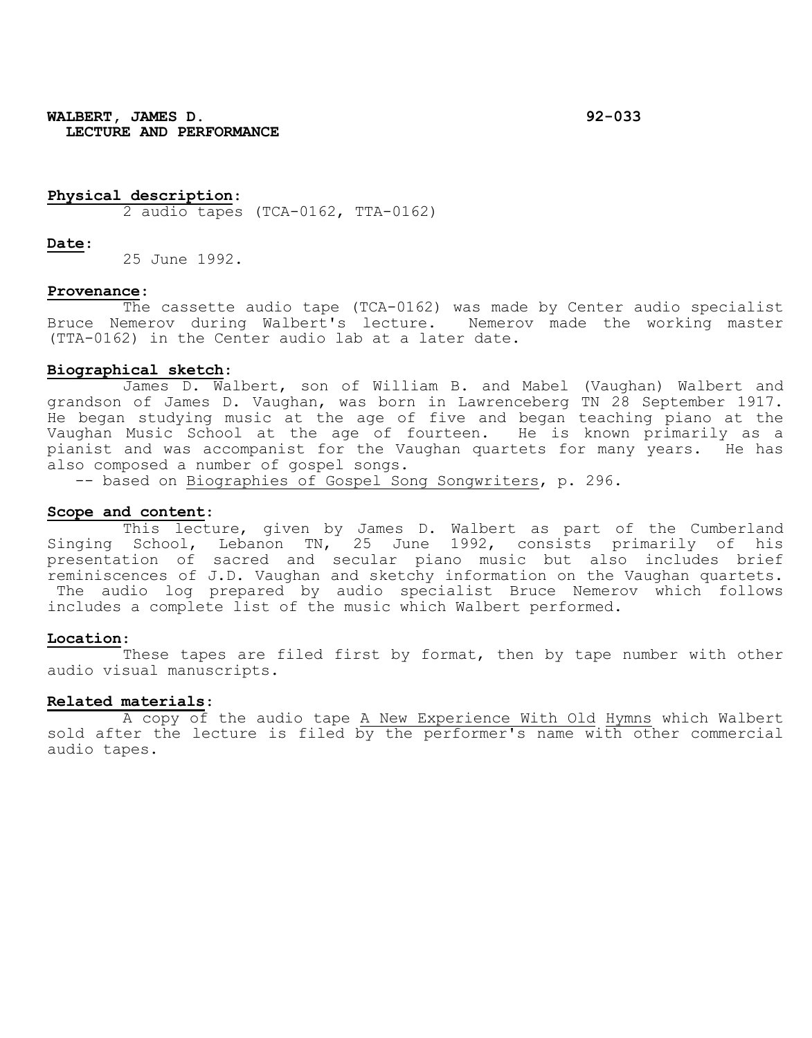**WALBERT, JAMES D. 92-033 LECTURE AND PERFORMANCE**

## **Physical description**:

2 audio tapes (TCA-0162, TTA-0162)

#### **Date**:

25 June 1992.

#### **Provenance**:

The cassette audio tape (TCA-0162) was made by Center audio specialist Bruce Nemerov during Walbert's lecture. Nemerov made the working master (TTA-0162) in the Center audio lab at a later date.

#### **Biographical sketch**:

James D. Walbert, son of William B. and Mabel (Vaughan) Walbert and grandson of James D. Vaughan, was born in Lawrenceberg TN 28 September 1917. He began studying music at the age of five and began teaching piano at the Vaughan Music School at the age of fourteen. He is known primarily as a pianist and was accompanist for the Vaughan quartets for many years. He has also composed a number of gospel songs.

-- based on Biographies of Gospel Song Songwriters, p. 296.

## **Scope and content**:

This lecture, given by James D. Walbert as part of the Cumberland Singing School, Lebanon TN, 25 June 1992, consists primarily of his presentation of sacred and secular piano music but also includes brief reminiscences of J.D. Vaughan and sketchy information on the Vaughan quartets. The audio log prepared by audio specialist Bruce Nemerov which follows includes a complete list of the music which Walbert performed.

# **Location**:

These tapes are filed first by format, then by tape number with other audio visual manuscripts.

#### **Related materials**:

A copy of the audio tape A New Experience With Old Hymns which Walbert sold after the lecture is filed by the performer's name with other commercial audio tapes.